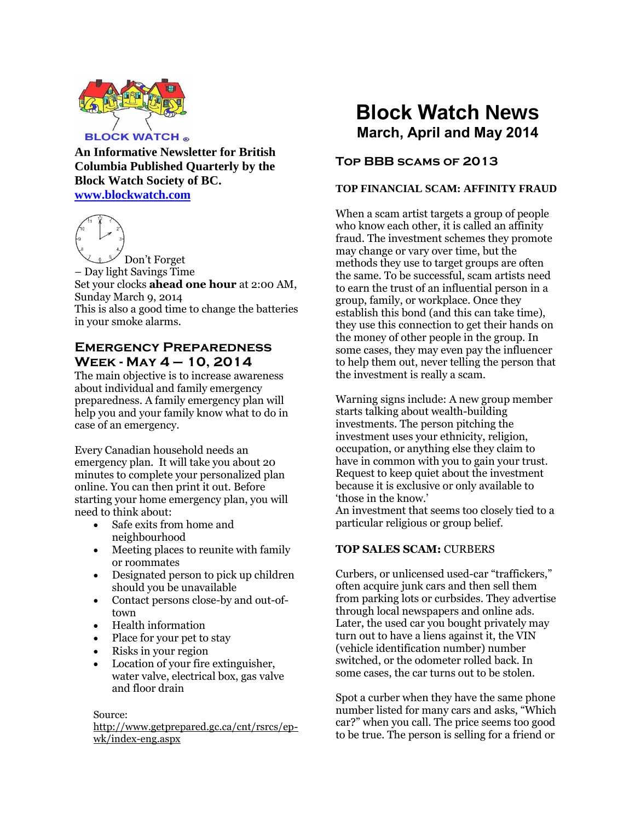

**An Informative Newsletter for British Columbia Published Quarterly by the Block Watch Society of BC. [www.blockwatch.com](http://www.blockwatch.com/)**



Don't Forget – Day light Savings Time Set your clocks **ahead one hour** at 2:00 AM, Sunday March 9, 2014 This is also a good time to change the batteries in your smoke alarms.

# **Emergency Preparedness Week - May 4 – 10, 2014**

The main objective is to increase awareness about individual and family emergency preparedness. A family emergency plan will help you and your family know what to do in case of an emergency.

Every Canadian household needs an emergency plan. It will take you about 20 minutes to complete your personalized plan online. You can then print it out. Before starting your home emergency plan, you will need to think about:

- Safe exits from home and neighbourhood
- Meeting places to reunite with family or roommates
- Designated person to pick up children should you be unavailable
- Contact persons close-by and out-oftown
- Health information
- Place for your pet to stay
- Risks in your region
- Location of your fire extinguisher, water valve, electrical box, gas valve and floor drain

#### Source:

http://www.getprepared.gc.ca/cnt/rsrcs/epwk/index-eng.aspx

# **Block Watch News March, April and May 2014**

# **Top BBB scams of 2013**

#### **TOP FINANCIAL SCAM: AFFINITY FRAUD**

When a scam artist targets a group of people who know each other, it is called an affinity fraud. The investment schemes they promote may change or vary over time, but the methods they use to target groups are often the same. To be successful, scam artists need to earn the trust of an influential person in a group, family, or workplace. Once they establish this bond (and this can take time), they use this connection to get their hands on the money of other people in the group. In some cases, they may even pay the influencer to help them out, never telling the person that the investment is really a scam.

Warning signs include: A new group member starts talking about wealth-building investments. The person pitching the investment uses your ethnicity, religion, occupation, or anything else they claim to have in common with you to gain your trust. Request to keep quiet about the investment because it is exclusive or only available to 'those in the know.'

An investment that seems too closely tied to a particular religious or group belief.

## **TOP SALES SCAM:** CURBERS

Curbers, or unlicensed used-car "traffickers," often acquire junk cars and then sell them from parking lots or curbsides. They advertise through local newspapers and online ads. Later, the used car you bought privately may turn out to have a liens against it, the VIN (vehicle identification number) number switched, or the odometer rolled back. In some cases, the car turns out to be stolen.

Spot a curber when they have the same phone number listed for many cars and asks, "Which car?" when you call. The price seems too good to be true. The person is selling for a friend or